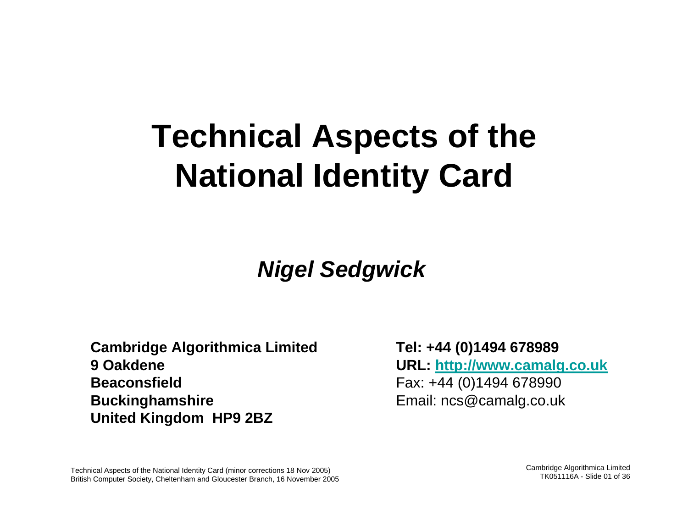# **Technical Aspects of the National Identity Card**

### **Nigel Sedgwick**

**Cambridge Algorithmica Limited 9 OakdeneBeaconsfieldBuckinghamshire United Kingdom HP9 2BZ**

**Tel: +44 (0)1494 678989 URL: http://www.camalg.co.uk** Fax: +44 (0)1494 678990 Email: ncs@camalg.co.uk

Technical Aspects of the National Identity Card (minor corrections 18 Nov 2005) British Computer Society, Cheltenham and Gloucester Branch, 16 November 2005 Cambridge Algorithmica Limited TK051116A - Slide 01 of 36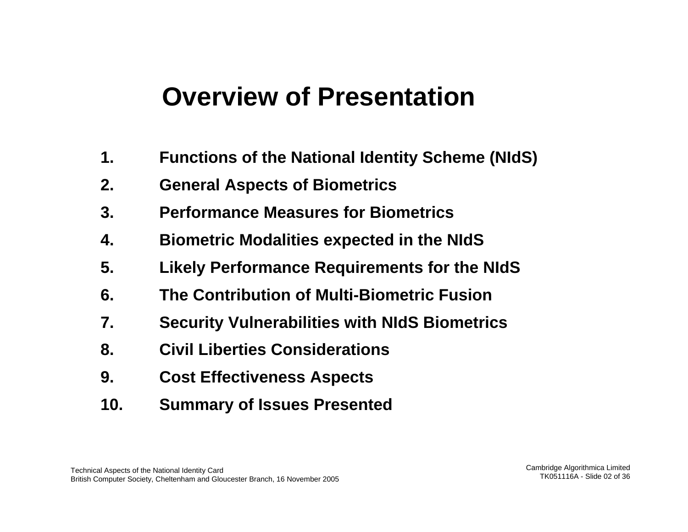### **Overview of Presentation**

- **1.Functions of the National Identity Scheme (NIdS)**
- **2.General Aspects of Biometrics**
- **3. Performance Measures for Biometrics**
- **4.Biometric Modalities expected in the NIdS**
- **5. Likely Performance Requirements for the NIdS**
- **6. The Contribution of Multi-Biometric Fusion**
- **7.Security Vulnerabilities with NIdS Biometrics**
- **8. Civil Liberties Considerations**
- **9. Cost Effectiveness Aspects**
- **10. Summary of Issues Presented**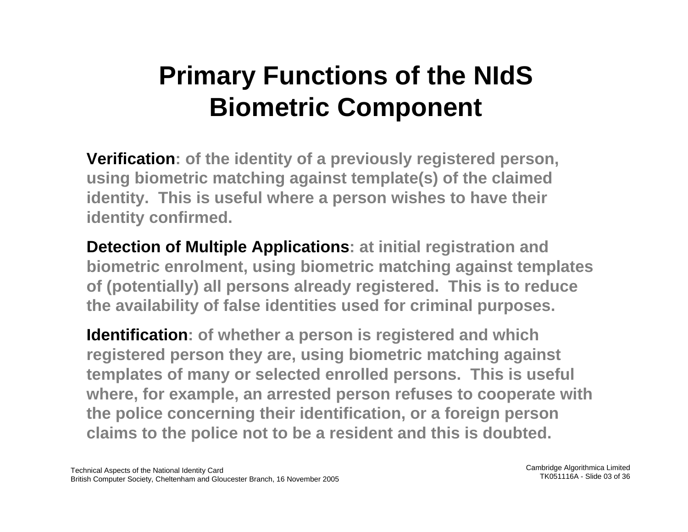## **Primary Functions of the NIdS Biometric Component**

**Verification: of the identity of a previously registered person, using biometric matching against template(s) of the claimed identity. This is useful where a person wishes to have their identity confirmed.**

**Detection of Multiple Applications: at initial registration and biometric enrolment, using biometric matching against templates of (potentially) all persons already registered. This is to reduce the availability of false identities used for criminal purposes.**

**Identification: of whether a person is registered and which registered person they are, using biometric matching against templates of many or selected en r olled persons. This is useful where, for example, an arrested person refuses to cooperate with the police concerning their identification, or a foreign person claims to the police not to be a resident and this is doubted.**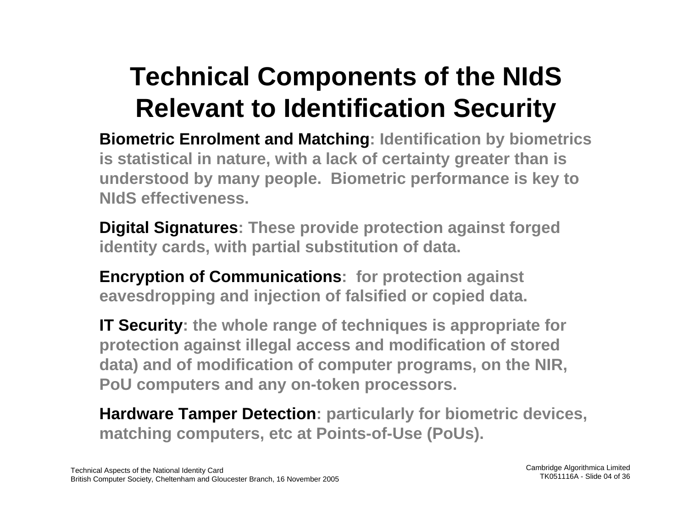## **Technical Components of the NIdS Relevant to Identification Security**

**Biometric Enrolment and Matching: Id**entification by biometrics **is statistical in nature, with a lack of certainty greater than is understood by many people. Biometric performance is key to NIdS effectiveness.**

**Digital Signatures: These provide protection against forged identity cards, with partial substitution of data.** 

**Encryption of Communications: for protection against eavesdropping and injection of falsified or copied data.**

**IT Security: the whole range of techniques is appropriate for protection against illegal access and modification of stored data) and of modification of computer programs, on the NIR, PoU computers and any on-token processors.**

**Hardware Tamper Detection: particularly for biometric devices, matching computers, etc at Points-of-Use (PoUs).**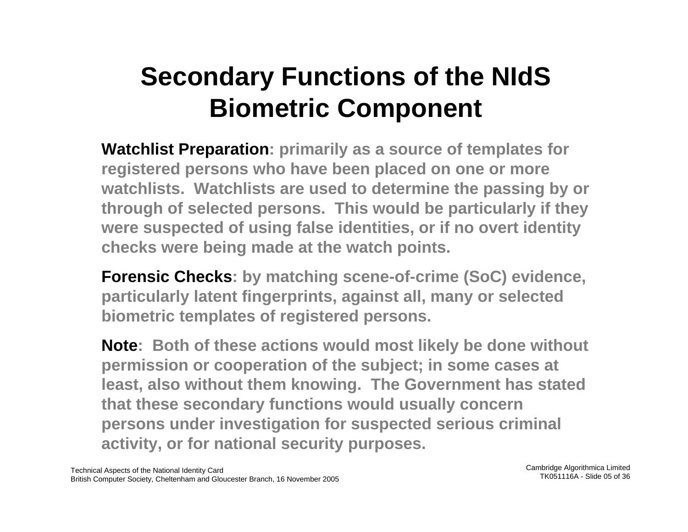## **Secondary Functions of the NIdS Biometric Component**

**Watchlist Preparation: primarily as a source of templates for registered persons who have been placed on one or more watchlists. Watchlists are used to determine the passing by or through of selected persons. This would be particula rly if they were suspected of using false identities, or if no overt identity checks were being made at the watch points.**

**Forensic Checks: by matching scene-of-crime (SoC) evidence, particularly latent fingerprints, against all, many or selected biometric templates of registered persons.** 

**Note: Both of these actions would most likely be done without permission or cooperation of the subject; in some cases at least, also without them knowing. The Government has stated that these secondary functions would usually concern persons under investigation for suspected serious criminal activity, or for national security purposes.**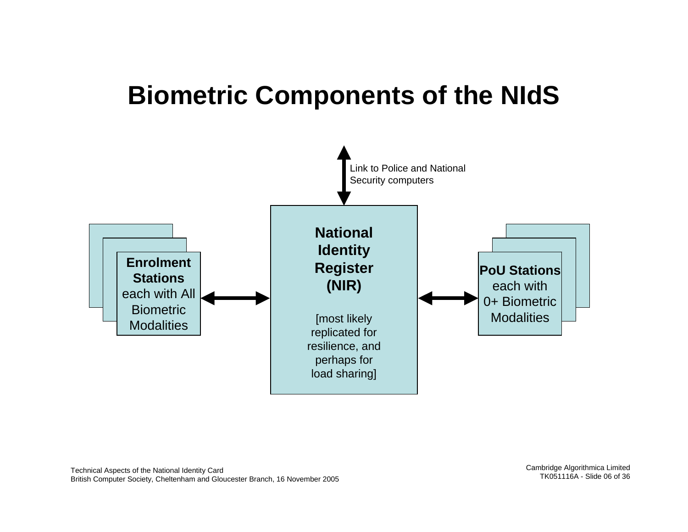### **Biometric Components of the NIdS**

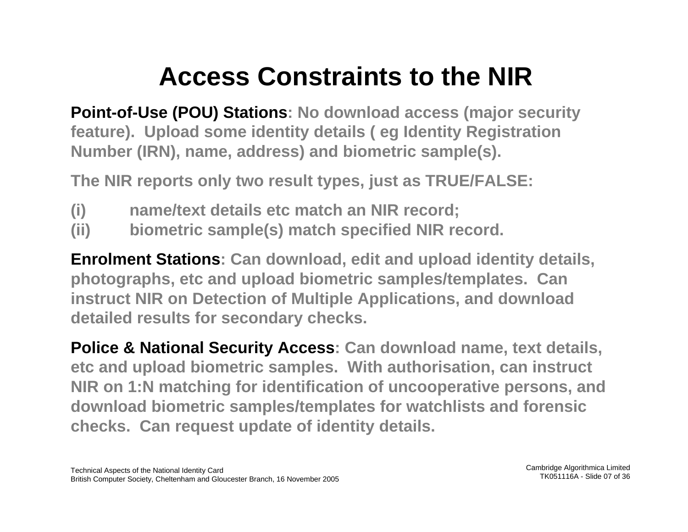## **Access Constraints to the NIR**

**Point-of-Use (POU) Stations: No download access (major security feature). Upload some identity details ( eg Identity Registration Number (IRN), name, address) and biometric sample(s).**

**The NIR reports only two result types, just as TRUE/FA LSE:**

- **(i) name/text details etc match an NIR record;**
- **(ii) biometric sample(s) match specified NIR record.**

**Enrolment Stations: Can download, edit and upload identity details, photographs, etc and upload biometric samples/templates. Can instruct NIR on Detection of M ultiple Applications, and download detailed results for secondary checks.**

**Police & National Security Access: Can download name, text details, etc and upload biometric samples. With authorisation, can instruct NIR on 1:N matching for identification of uncooperative persons, and download biometric samples/templates for watchlists and forensic checks. Can request update of identity details.**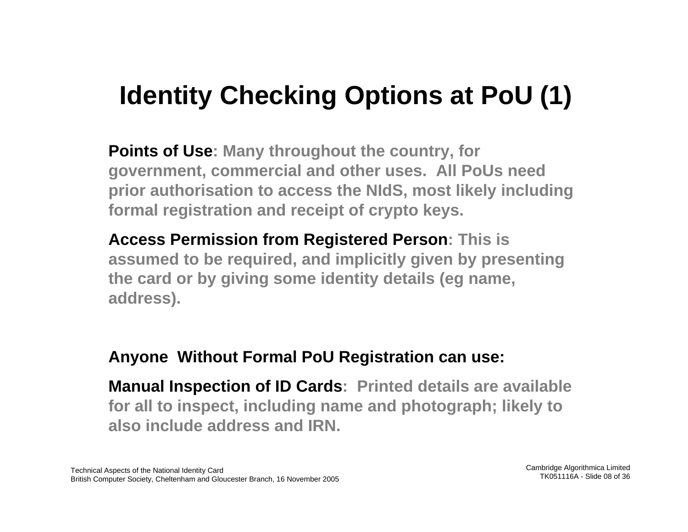## **Identity Checking Options at PoU (1)**

**Points of Use: Many throughout the country, for government, commercial and other uses. All PoUs need prior authorisation to access the NIdS, most likely including formal registration and receipt of crypto keys.**

**Access Permission from Registered Person: This is assumed to be required, and implicitly given by presenting the card or by giving some identity details (eg name, address).**

### **Anyone Without Formal PoU Registration can use:**

**Manual Inspection of ID Car d s: Printed details are available for all to inspect, including name and photograph; likely to also include address and IRN.**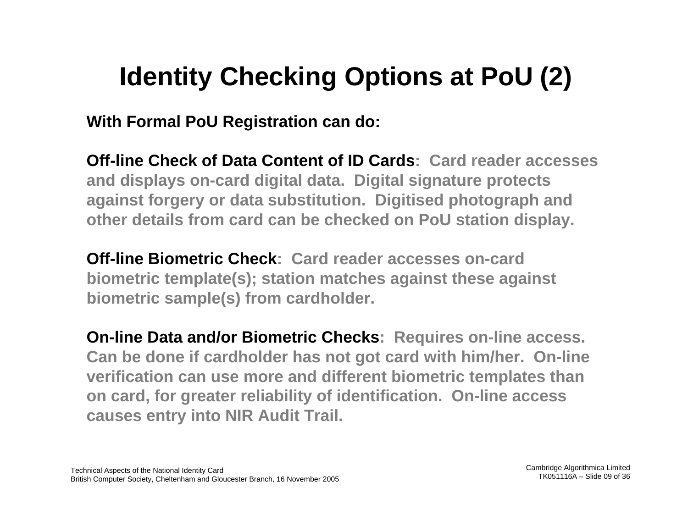## **Identity Checking Options at PoU (2)**

**With Formal PoU Registration can do:**

**Off-line Check of Data Content of I D Cards: Card reader accesses and displays on-card digital data. Digital signature protects against forgery or data substitution. Digitised photograph and other details from card can be checked on PoU station display.**

**Off-line Biometric Check: Card reader accesses on-card biometric template(s); station matches against these against biometric sample(s) from cardholder.**

**On-line Data and/or Biometric Checks: Requires on-line access. Can be don e if cardholder has not got card with him/her. On-line verification can use more and different biometric templates than on card, for greater reliability of identification. On-line access causes entry into NIR Audit Trail.**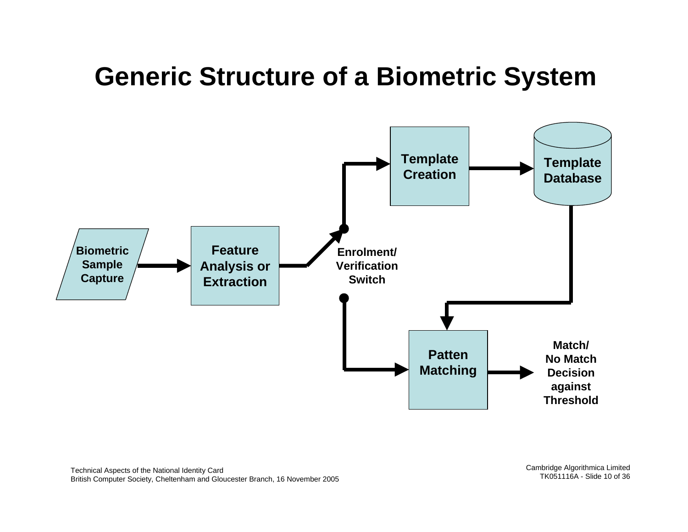### **Generic Structure of a Biometric System**

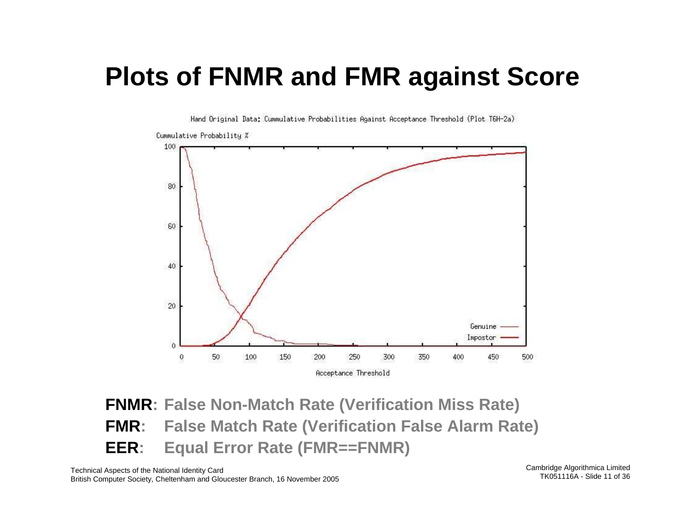### **Plots of FNMR and FMR against Score**



Hand Original Data: Cummulative Probabilities Against Acceptance Threshold (Plot T6H-2a)

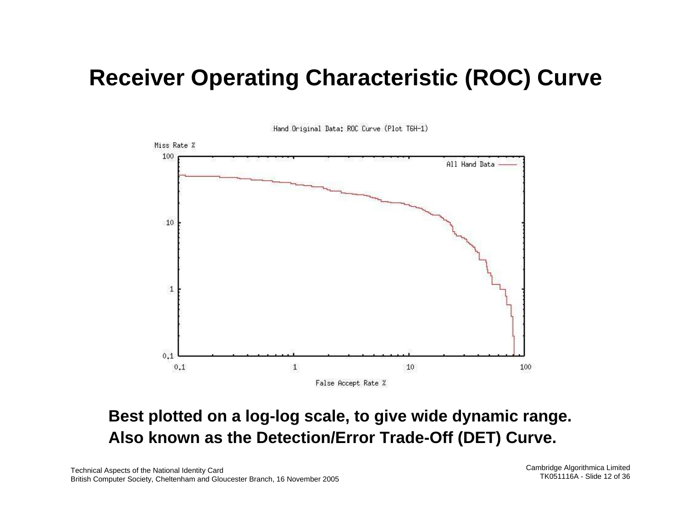### **Receiver Operating Characteristic (ROC) Curve**



Hand Original Data: ROC Curve (Plot T6H-1)

### **Best plotted on a log-log scale, to give wide dynamic range. Also known as the Detection/Error Trade-Off (DET) Curve.**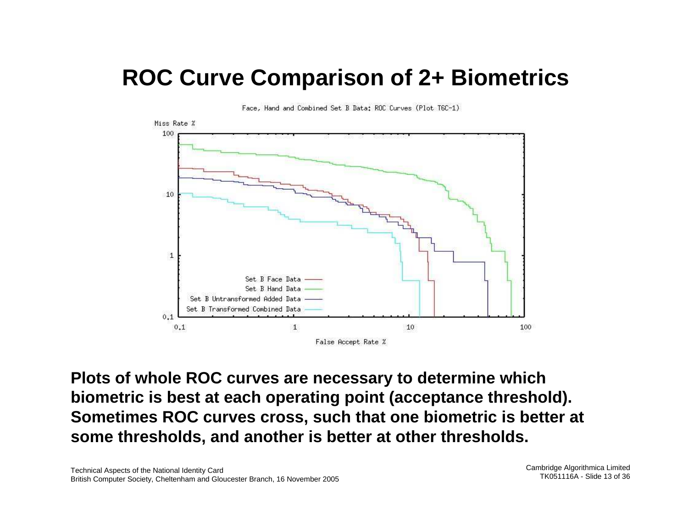### **ROC Curve Comparison of 2+ Biometrics**



Face, Hand and Combined Set B Data: ROC Curves (Plot T6C-1)

**Plots of whole ROC curves are necessary to determine which biometric is best at each operating point (acceptance threshold). Sometimes ROC curves cross, such that one biometric is better at some thresholds, and another is better at other thresholds.**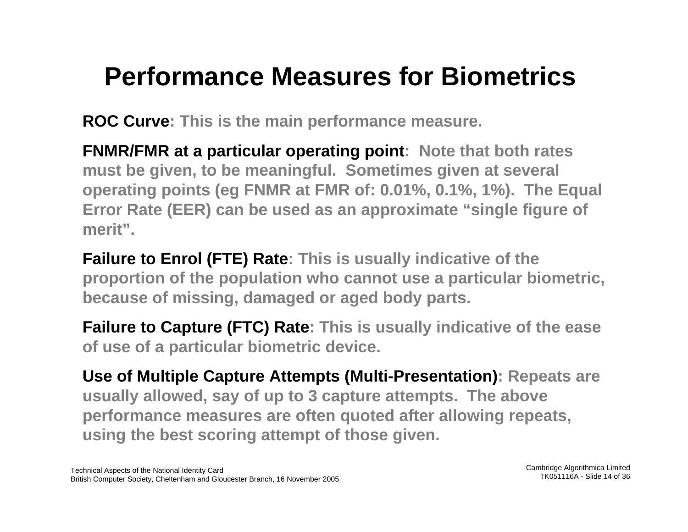## **Performance Measures for Biometrics**

**ROC Curve: This is the main performance measure.**

**FNMR/FMR at a particular operating point: Note that both rates must be given, to be meaningful. Sometimes given at several operating points (eg FNMR at FMR of: 0.01%, 0.1%, 1%). The Equal Error Rate (EER) can be used as an approximate "single figure of merit".**

**Failure to Enrol (FTE) Rate: This is usually indicative of the proportion of the population who cannot use a particular biometric, because of missing, damaged or a ged body parts.**

**Failure to Capture (FTC) Rate: This is usually indicative of the ease of use of a particular biometric device.**

**Use of Multiple Capture Attempts (Multi-Presentation): Repeats are usually allowed, say of up to 3 capture attempts. The above performance measures are often quoted after allowing repeats, using the best scoring attempt of those given.**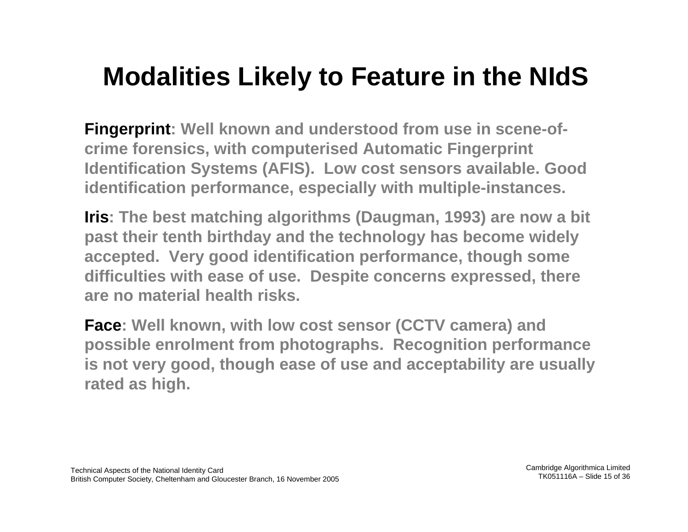## **Modalities Likely to Feature in the NIdS**

**Fingerprint:** Well known and understood from use in scene-of**crime forensics, with computerised Automatic Fingerprint Identification Systems (AFIS). Low cost sensors available. Good identification performance, especially with multiple-instances.**

**Iris: The best matching algorithms (Daugman, 1993) are now a bit past their tenth birthday and the technology has become widely accepted. Very good identification performance, though some difficulties with ease of use. Despite concerns expressed, there are no material health risks.**

**Face: Well known, with low cost sensor (CCTV camera) and possible enrolme nt from photographs. Recognition performance is not very good, though ease of use and acceptability are usually rated as high.**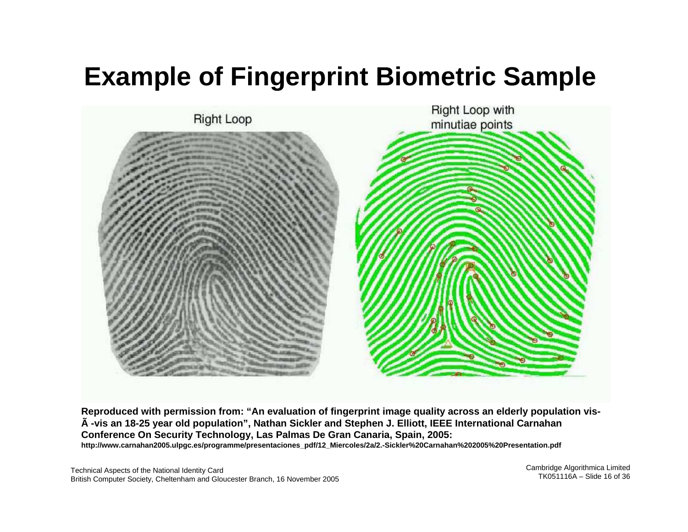## **Example of Fingerprint Biometric Sample**



Reproduced with permission from: "An evaluation of fingerprint image quality across an elderly population visà -vis an 18-25 year old population", Nathan Sickler and Stephen J. Elliott, IEEE International Carnahan **Conference On Security Technol og y, Las Palma s De Gran Canaria, Spain, 2005: http://www.carnahan2005.ulpgc.es/programme/presentaciones\_pdf/12\_Miercoles/2a/2.-Sickler %20Carnahan%202005%20Presentation.pdf**

Technical Aspects of the National Identity Card British Computer Society, Cheltenham and Gloucester Branch, 16 November 2005 Cambridge Algorithmica Limited TK051116A – Slide 16 of 36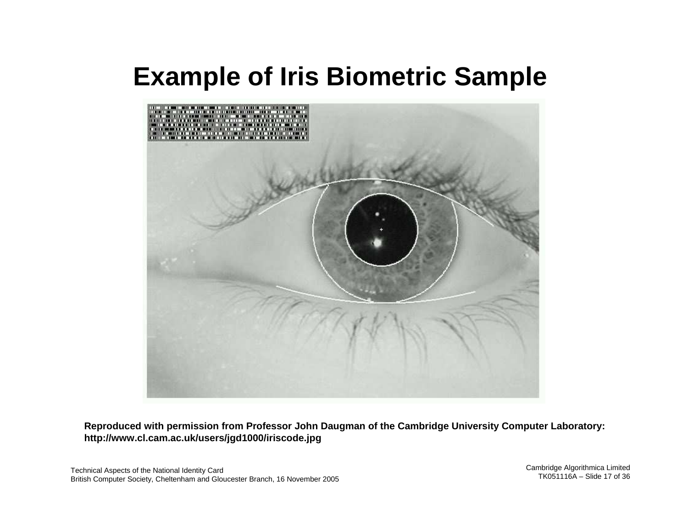## **Example of Iris Biometric Sample**



**Reproduced with permission from Professor John Daugman of the Cambridge University Computer Laboratory: http://w w w.cl.cam.ac.uk/users/jgd1000/iriscode.j p g**

Technical Aspects of the National Identity Card British Computer Society, Cheltenham and Gloucester Branch, 16 November 2005 Cambridge Algorithmica Limited TK051116A – Slide 17 of 36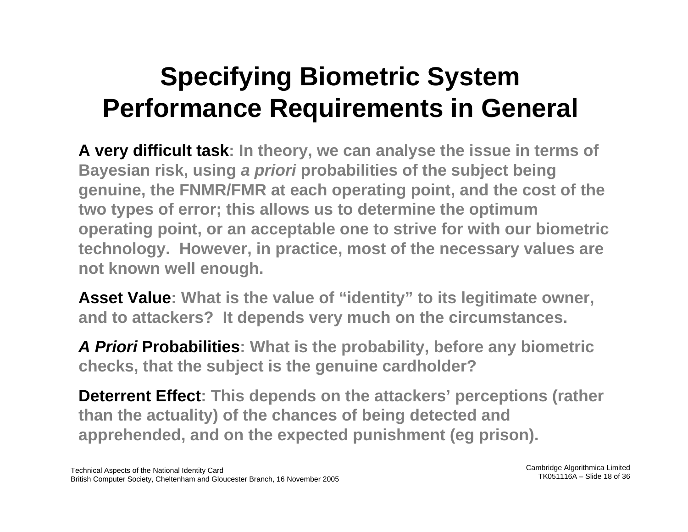## **Specifying Biometric System Performance Requirements in General**

**A very difficult task: In theory, we can analyse the issue in terms of Bayesian risk, using a priori probabilities of the subject being genuine, the FNMR/FMR at e ach operating point, and the cost of the two types of error; this allows us to determine the optimum operating point, or an acceptable one to strive for with our biometric techn ology. However, in practice, most of the necessary values are not known well enough.**

**Asset Value: What is the value of "identity" to its legitimate owner, and to attackers? It depends very much on the circumstances.**

**A Priori Probabilities: What is the probability, before any biometric checks, that the subject is the genuine cardholder?**

**Deterrent Effect: This depends on the attackers' perceptions (rather than the actuality) of the chances of being detected and apprehended, and on the expected punishment (eg prison).**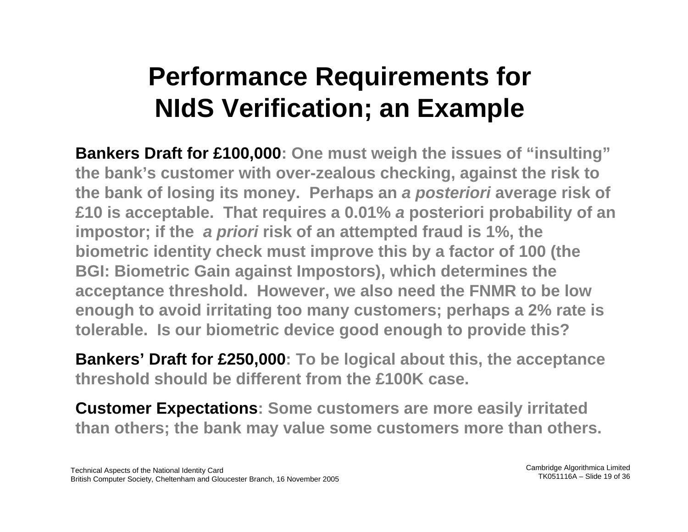## **Performance Requirements for NIdS Verification; an Example**

**Bankers Draft for £100,000: One must weigh the issues of "insulting" the bank's customer with over-zealous checking, against the risk to the bank of losing its money. Perhaps an a posteriori average risk of £10 is acceptable. That requires a 0.01% a posteriori probability of an impostor; if the a priori risk of an attempted fraud is 1%, the biometric identity check must improve this by a factor of 100 (the BGI: Biometric Gain against Impostors), which determines the acceptance threshold. However, we also need the FNMR to be low enough to avoid irritating too many customers; perhaps a 2% rate is tolerable. Is our biometric device good enough to provide this?**

**Bankers' Draft for £250,000: To be logical about this, the acceptance threshold should be different from the £100K case.**

**Customer Expectations: Some customers are more easily irritated than others; the bank may value some customers more than others.**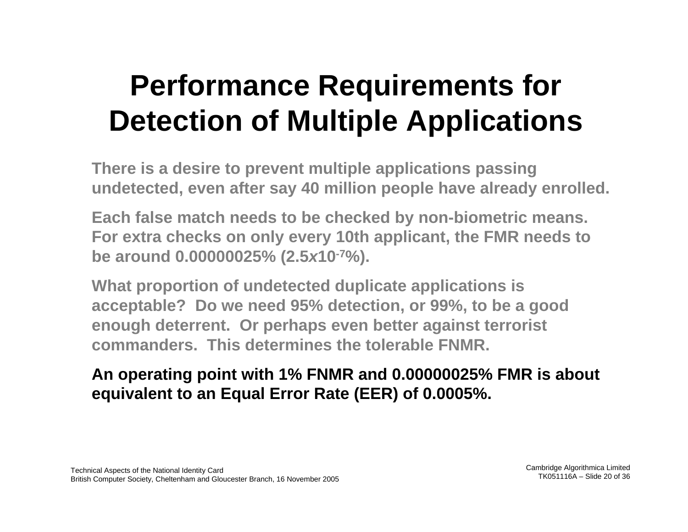## **Performance Requirements for Detection of Multiple Applications**

**There is a desire to prevent multiple applications passing undetected, even after say 40 million people have already enrolled.**

**Each false match needs to be checked by non-biometric means. For extra checks on only every 10th applicant, the FMR needs to be around 0.00000025% (2.5 <sup>x</sup>10-7%).**

**What proportion of undetected duplicate applications is acceptable? Do we need 95% detection, or 99%, to be a goo d enough deterrent. Or perhaps even better against terrorist commanders. This determines the tolerable FNMR.**

### **An operating point with 1% FNMR and 0.00000025% FMR is about equivalent to an Equal Error Rate (EER) of 0.0005%.**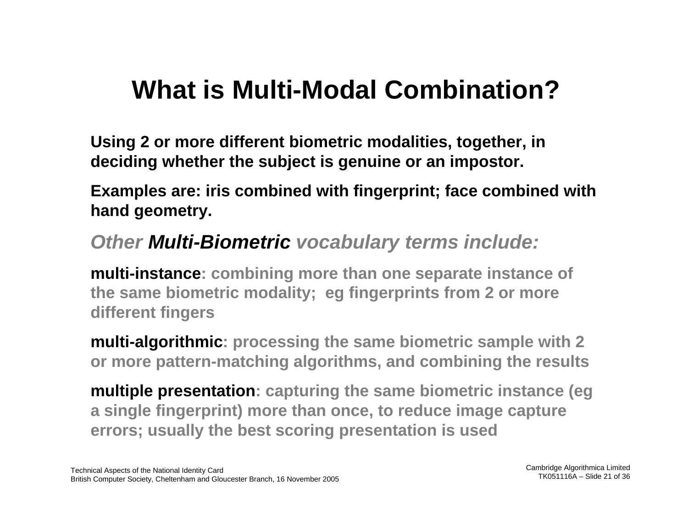### **What is Multi-Modal Combination?**

**Using 2 or more different biometric modalities, together, in deciding whether the subject is genuine or an impostor.**

**Examples are: iris combined with fingerprint; face combined with hand geometry.**

### **Other Multi-Biometric vocabulary terms include:**

**multi-instance: combining more than one separate instance of the same biometric modality; eg fingerprints from 2 or more different fingers**

**multi-algorithmic: processing the same biometric sample with 2 or more pattern-matching algorithms, and combining the results**

**multiple presentation: capturing the same biometric instance (eg a single fingerprint) more than once, to reduce image capture errors; usually the best scoring presentation is used**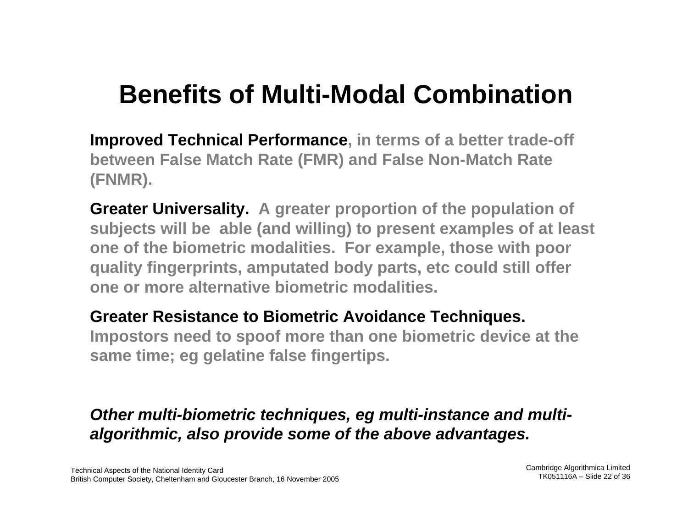## **Benefits of Multi-Modal Combination**

**Improved Technical Performance, in terms of a better trade-off between False Match Rate (FMR) and False Non-Match Rate (FNMR).**

**Greater Universality. A greater proportion of the population of subjects will be able (and willing) to present examples of at least one of the biometric modalities. For example, those with poor quality fingerprints, amputated body parts, etc could still offer one or more alternative biometric modalities.**

#### **Greater Resistance to Biometric Avoidance Techniques.**

**Impostors need to spoof more than one biometric device at the same time; eg gelatine false fingertips.**

### **Other multi-biometric techniques, eg multi-instance and multialgorithmic, also provide some of the above advantages.**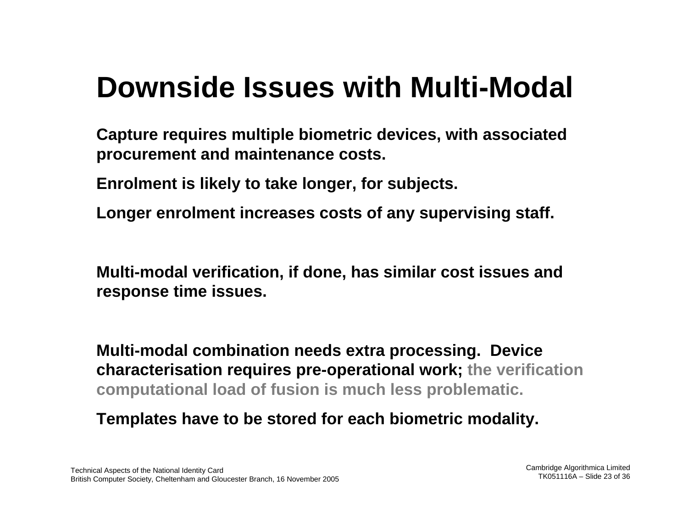## **Downside Issues with Multi-Modal**

**Capture requires multiple biometric devices, with associated procurement and maintenance costs.**

**Enrolment is likely to take longer, for subjects.**

**Longer enrolment increases costs of any supervising staff.**

**Multi-modal verification, if done, has similar cost issues and response time issues.**

**Multi-modal combination needs extra processing. Device characterisation requires pre-operational work; the verification computational load of fusion is much less problematic.**

**Templates have to be stored for each biometric modality.**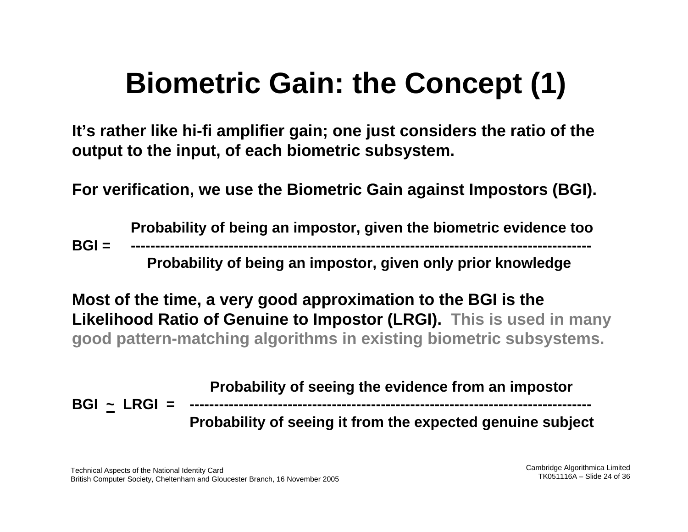# **Biometric Gain: the Concept (1)**

**It's rather like hi-fi amplifier gain; one just considers the ratio of the output to the input, of each biometric subsystem.**

**For verification, we use the Biometric Gain against Impostors (BGI).**

**Probability of being an impostor, given the biometric evidence too BGI = ----------------------------------------------------------------------------------------------Probability of being an impostor, given only prior knowledge**

**Most of the time, a very good approximation to the BGI is the Likelihood Ratio of Genuine to Impostor (LRGI). This is used in many good pattern-matching algorithms in existing biometric subsystems.**

**Probability of seeing the evidence from an impostor BGI ~ LRGI = ---------------------------------------------------------------------------------- Probability of seeing it from the expected genuine subject**

Technical Aspects of the National Identity Card British Computer Society, Cheltenham and Gloucester Branch, 16 November 2005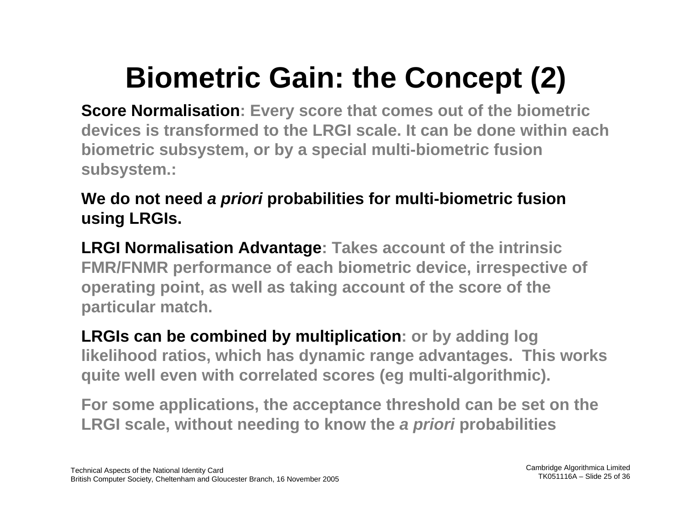# **Biometric Gain: the Concept (2)**

**Score Normalisation: Every score that comes out of the biometric devices is transformed to the LRGI scale. It can be done within each biometric subsystem, or by a special multi-biometric fusion subsystem.:**

### **We do not need a priori probabilities for multi-biometric fusion using LRGIs.**

**LRGI Normalisation Advantage: Takes account of the intrinsic FMR/FNMR performance of each biometric device, irrespective of operating point, as well a s taking account of the score of the particular match.**

**LRGIs can be combined by multiplication: or by adding log likelihood ratios, which has dynamic range advantages. This works quite well even with correlated scores (eg multi-algorithmic).**

**For some applications, the acceptance threshold can be set on the LRGI scale, without needing to kno w the a priori probabilities**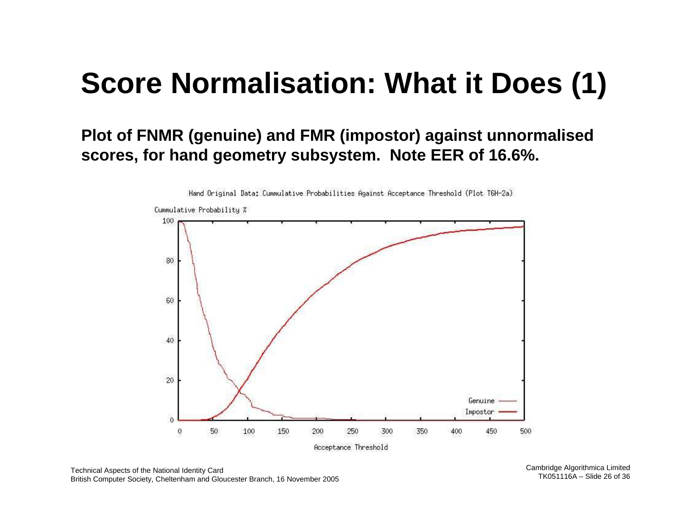## **Score Normalisation: What it Does (1)**

### **Plot of FNMR (genuine) and FMR (impostor) against unnormalised scores, for hand geometry subsystem. Note EER of 16.6 %.**



Hand Original Data: Cummulative Probabilities Against Acceptance Threshold (Plot T6H-2a)

Cambridge Algorithmica Limited TK051116A – Slide 26 of 36

Technical Aspects of the National Identity Card British Computer Society, Cheltenham and Gloucester Branch, 16 November 2005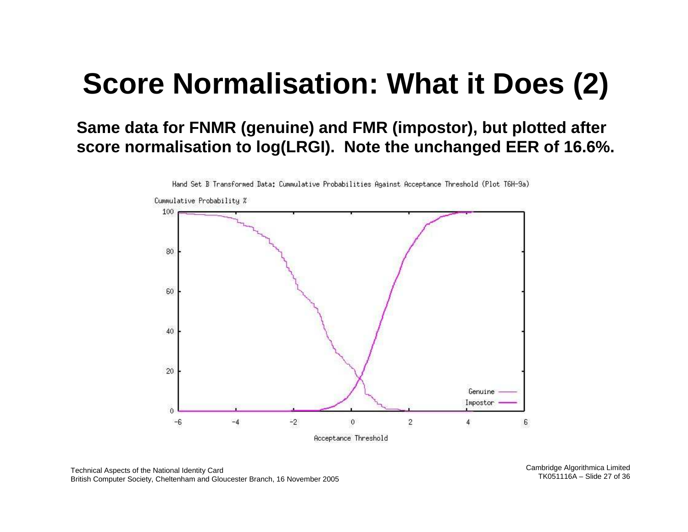## **Score Normalisation: What it Does (2)**

**Same data for FNMR (genuine) and FMR (impostor), but plotted after score normalisation to log(LRGI). Note the unchanged EER of 16.6 %.**



Hand Set B Transformed Data: Cummulative Probabilities Against Acceptance Threshold (Plot T6H-9a)

Technical Aspects of the National Identity Card British Computer Society, Cheltenham and Gloucester Branch, 16 November 2005 Cambridge Algorithmica Limited TK051116A – Slide 27 of 36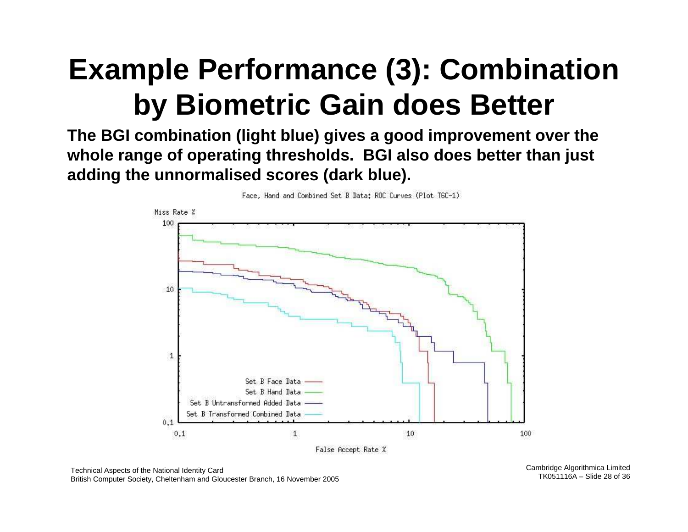## **Example Performance (3): Combination by Biometric Gain does Better**

**The BGI combination (light blue) gives a good improvement over the whole range of operating thresholds. BGI also does better than just adding the unnormalised scores (dark blue).**



Face, Hand and Combined Set B Data: ROC Curves (Plot T6C-1)

Technical Aspects of the National Identity Card British Computer Society, Cheltenham and Gloucester Branch, 16 November 2005 Cambridge Algorithmica Limited TK051116A – Slide 28 of 36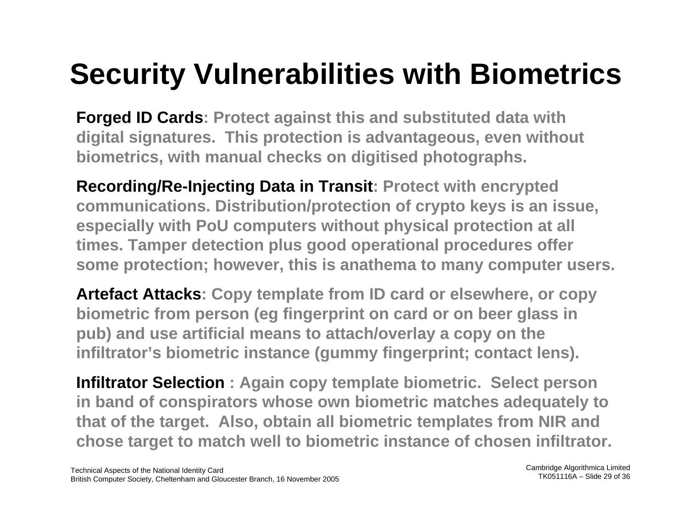# **Security Vulnerabilities with Biometrics**

**Forged ID Cards: Protect against this and substituted data with digital signatures. This protection is advantageous, even without biometrics, with manual checks on digitised photographs.**

**Recording/Re-Injecting Data in Transit: Protect with encrypted communications. Distribution/protection of crypto keys is an issue, especially with PoU computers without physical protection at all times. Tamper detection plus good operational procedures offer some protection; however, this is anathema to many computer users.**

**Artefact Attacks: Copy template from ID card or elsewhere, or copy biometric from person (eg fingerprint on card or on beer glass in pub) and use artificial means to attach/overlay a copy on the infiltrator's biometric instance (gummy fingerprint; contact lens).**

**Infiltrator Selection : Again copy template biometric. Select person in band of conspirators whose own biometric matches adequately to that of the target. Also, obtain all biometric templates from NIR and chose target to match well to biometric instance of chosen infiltrator.**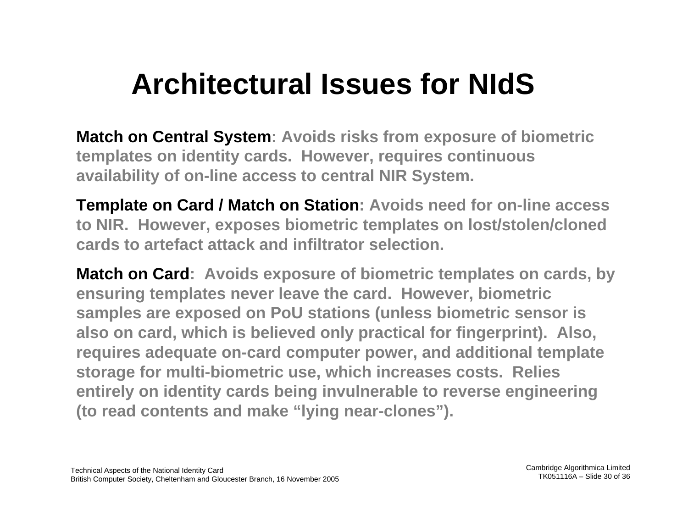## **Architectural Issues for NIdS**

**Match on Central System: Avoids risks from exposure of biometric templates on identity cards. However, requires continuous availability of on-line access to central NIR System.**

**Template on Card / Match on Station: Avoids need for on-line access to NIR. However, exposes biometric templates on lost/stolen/cloned cards to artefact attack and infiltrator selection.**

**Match on Card: Avoids exposure of biometric templates on cards, by ensuring templates never leave the card. However, biometric samples are exposed on PoU stations (unless biometric sensor is also on card, which is believed only practical for fingerprint). Also, requires adequate on-card computer power, and additional template storage for multi-biometric use, which increases costs. Relies entirely on identity cards being invulnerable to reverse engineering (to read contents and make "lying near-clones").**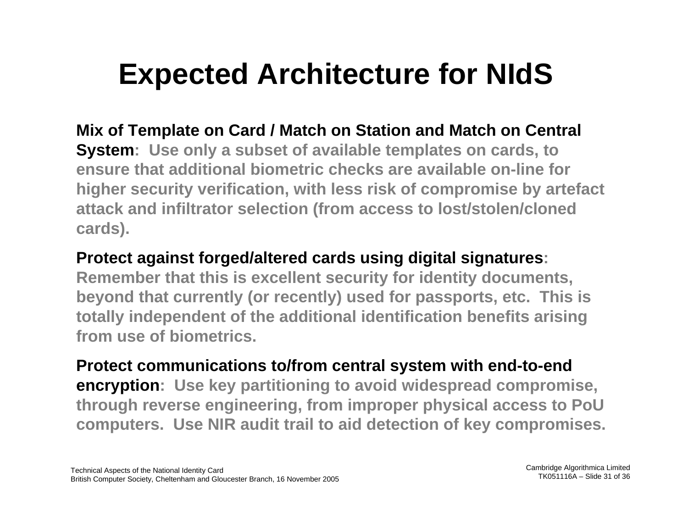## **Expected Architecture for NIdS**

**Mix of Template on Card / Match on Station and Match on Central System: Use only a subset of available templates on cards, to ensure that additional biometric checks are available on-line for higher security verification, with less risk of compromise by artefact attack and infiltrator selection (from access to lost/stolen/cloned cards).**

#### **Protect against forged/altered cards using digital signatures:**

**Remember that this is excellent security for identity documents, beyond that currently (or recently) used for passports, etc. This is totally independent of the additional identification benefits arising from use of biometrics.**

**Protect communications to/from central system with end-to-end encryption: Use key partitioning to avoid widespread compromise, through reverse engineering, from improper physical access to PoU computers. Use NIR audit trail to aid detection of key compromises.**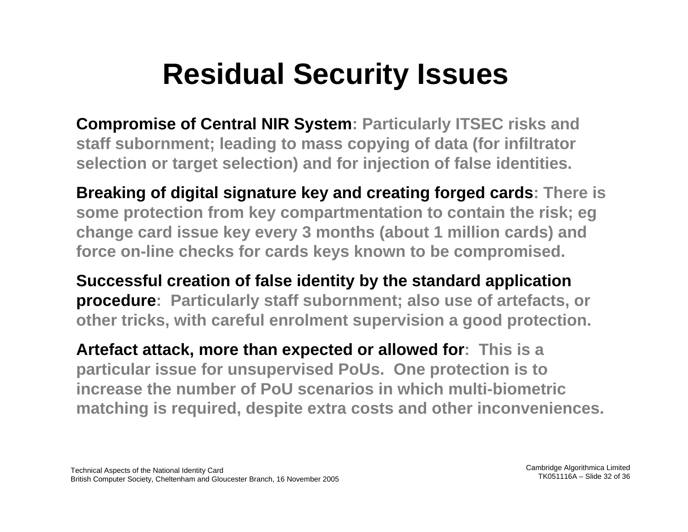# **Residual Security Issues**

**Compromise of Central NIR System: Particularly ITSEC risks and staff subornment; leading to mass copying of data (for infiltrator selection or target selection) and for injection of false identities.**

**Breaking of digital signature key and creating forged cards: There is some protection from key compartmentation to contain the risk; eg change card issue key every 3 months (about 1 million cards) and force on-line checks for cards keys known to be compromised.**

**Successful creation of false identity by the standard application procedure: Particularly staff subornment; also use of artefacts, or other tricks, with careful enrolment supervision a good protection.**

**Artefact attack, more than expected or allowed for: This is a particular issue for unsupervised PoUs. One protection is to increase the number of PoU scenarios in which multi-biometric matching is required, despite extra costs and other inconveniences.**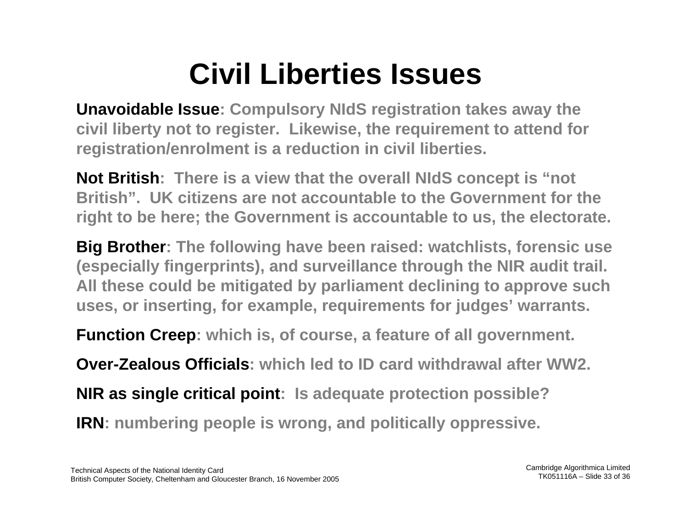# **Civil Liberties Issues**

**Unavoidable Issue: Compulsory NIdS registration takes away the civil liberty not to register. Likewise, the requirement to attend for registration/enrolment is a reduction in civil liberties.**

**Not British: There is a view that the overall NIdS concept is "not British". UK citizens are not accountable to the Government for the right to be here; the Government is accountable to us, the electorate.**

**Big Brother: The following have been raised: watchlists, forensic use (especially fingerprints), and surveillance through the NIR audit trail. All these could be mitigated by parliament declining to approve such uses, or inserting, for example, requirements for judges' warrants.**

**Function Creep: which is, of course, a feature of all government.**

**Over-Zealous Officials: which led to ID card withdrawal after WW2.**

**NIR as single critical point: Is adequate protection possible?**

**IRN: numbering people is wrong, and politically oppressive.**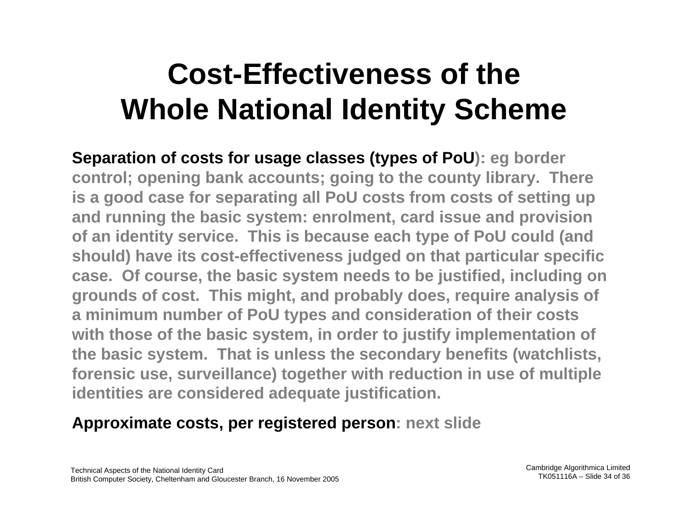# **Cost-Effectiveness of the Whole National Identity Scheme**

**Separation of costs for usage classes (types of PoU): eg border control; opening bank accounts; going to the county library. There is a good case for separating all PoU costs from costs of setting up and running the basic system: enrolment, card issue and provision of an identity service. This is because each type of PoU could (and should) have its cost-effectiveness judged on that particular specific case. Of course, the basic system needs to be justified, including on grounds of cost. This might, and probably does, require analysis of a minimum number of PoU types and consideration of their costs with those of the basic system, in order to justify implementation of the basic system. That is unless the secondary benefits (watchlists, forensic use, surveillance) together with reduction in use of multi ple identities are considered adequate justification.**

#### **Approximate costs, per registered person: next slide**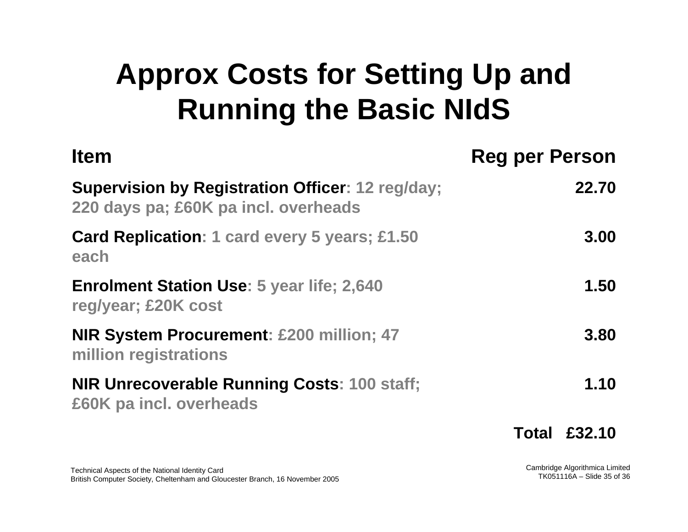# **Approx Costs for Setting Up and Running the Basic NIdS**

| <b>Item</b>                                                                                     | <b>Reg per Person</b> |
|-------------------------------------------------------------------------------------------------|-----------------------|
| <b>Supervision by Registration Officer: 12 reg/day;</b><br>220 days pa; £60K pa incl. overheads | 22.70                 |
| <b>Card Replication: 1 card every 5 years; £1.50</b><br>each                                    | 3.00                  |
| <b>Enrolment Station Use: 5 year life; 2,640</b><br>reg/year; £20K cost                         | 1.50                  |
| <b>NIR System Procurement: £200 million; 47</b><br>million registrations                        | 3.80                  |
| <b>NIR Unrecoverable Running Costs: 100 staff;</b><br>£60K pa incl. overheads                   | 1.10                  |
|                                                                                                 | <b>Total £32.10</b>   |